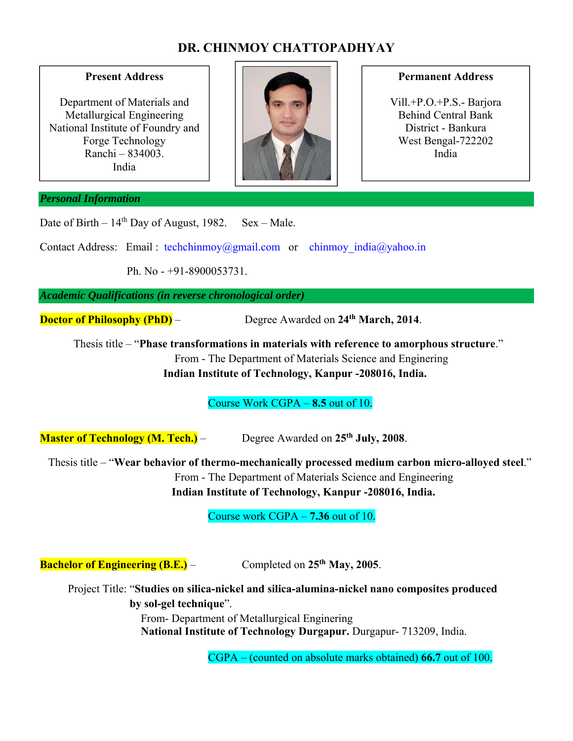# **DR. CHINMOY CHATTOPADHYAY**

### **Present Address**

Department of Materials and Metallurgical Engineering National Institute of Foundry and Forge Technology Ranchi – 834003. India



#### **Permanent Address**

Vill.+P.O.+P.S.- Barjora Behind Central Bank District - Bankura West Bengal-722202 India

#### *Personal Information*

Date of Birth –  $14<sup>th</sup>$  Day of August, 1982. Sex – Male.

Contact Address: Email : techchinmoy@gmail.com or chinmoy india@yahoo.in

Ph. No - +91-8900053731.

*Academic Qualifications (in reverse chronological order)* 

**Doctor of Philosophy (PhD)** – Degree Awarded on 24<sup>th</sup> March, 2014.

 Thesis title – "**Phase transformations in materials with reference to amorphous structure**." From - The Department of Materials Science and Enginering **Indian Institute of Technology, Kanpur -208016, India.** 

Course Work CGPA – **8.5** out of 10.

**Master of Technology (M. Tech.)** – Degree Awarded on 25<sup>th</sup> July, 2008.

 Thesis title – "**Wear behavior of thermo-mechanically processed medium carbon micro-alloyed steel**." From - The Department of Materials Science and Engineering **Indian Institute of Technology, Kanpur -208016, India.** 

Course work CGPA – **7.36** out of 10.

**Bachelor of Engineering (B.E.)** – Completed on 25<sup>th</sup> May, 2005.

 Project Title: "**Studies on silica-nickel and silica-alumina-nickel nano composites produced by sol-gel technique**". From- Department of Metallurgical Enginering **National Institute of Technology Durgapur.** Durgapur- 713209, India.

CGPA – (counted on absolute marks obtained) **66.7** out of 100.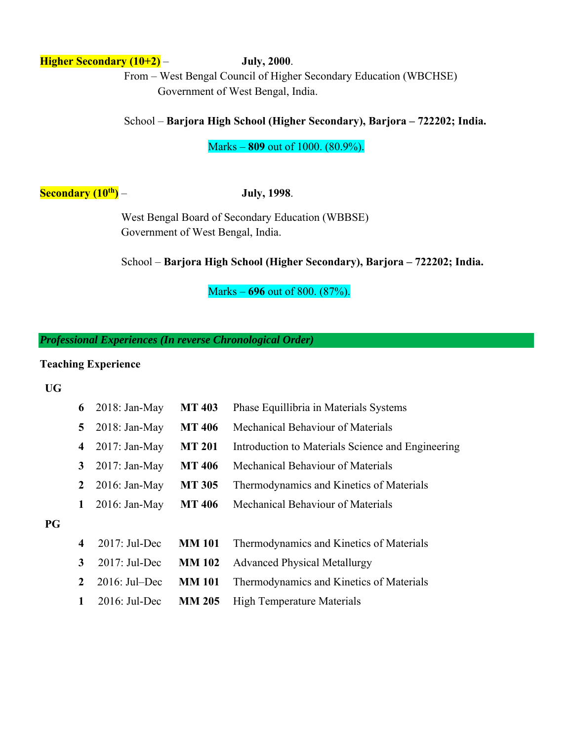# **Higher Secondary (10+2)** – **July, 2000**.

 From – West Bengal Council of Higher Secondary Education (WBCHSE) Government of West Bengal, India.

# School – **Barjora High School (Higher Secondary), Barjora – 722202; India.**

Marks – **809** out of 1000. (80.9%).

**Secondary (10<sup>th</sup>)</del> – <b>July, 1998**.

 West Bengal Board of Secondary Education (WBBSE) Government of West Bengal, India.

School – **Barjora High School (Higher Secondary), Barjora – 722202; India.**

Marks – **696** out of 800. (87%).

*Professional Experiences (In reverse Chronological Order)* 

#### **Teaching Experience**

**UG**

**PG** 

| 6                | $2018: Jan-May$  | <b>MT 403</b> | Phase Equillibria in Materials Systems            |  |  |  |  |
|------------------|------------------|---------------|---------------------------------------------------|--|--|--|--|
| 5                | $2018: Jan-May$  | <b>MT 406</b> | Mechanical Behaviour of Materials                 |  |  |  |  |
| 4                | $2017: Jan-May$  | <b>MT 201</b> | Introduction to Materials Science and Engineering |  |  |  |  |
| 3                | $2017: Jan-May$  | <b>MT 406</b> | Mechanical Behaviour of Materials                 |  |  |  |  |
| 2                | $2016$ : Jan-May | <b>MT 305</b> | Thermodynamics and Kinetics of Materials          |  |  |  |  |
| 1                | $2016$ : Jan-May | <b>MT 406</b> | Mechanical Behaviour of Materials                 |  |  |  |  |
|                  |                  |               |                                                   |  |  |  |  |
| $\boldsymbol{4}$ | $2017$ : Jul-Dec | <b>MM 101</b> | Thermodynamics and Kinetics of Materials          |  |  |  |  |
| 3                | $2017$ : Jul-Dec | <b>MM 102</b> | <b>Advanced Physical Metallurgy</b>               |  |  |  |  |
| $\mathbf{2}$     | $2016$ : Jul-Dec | <b>MM 101</b> | Thermodynamics and Kinetics of Materials          |  |  |  |  |
| 1                | $2016$ : Jul-Dec | <b>MM 205</b> | <b>High Temperature Materials</b>                 |  |  |  |  |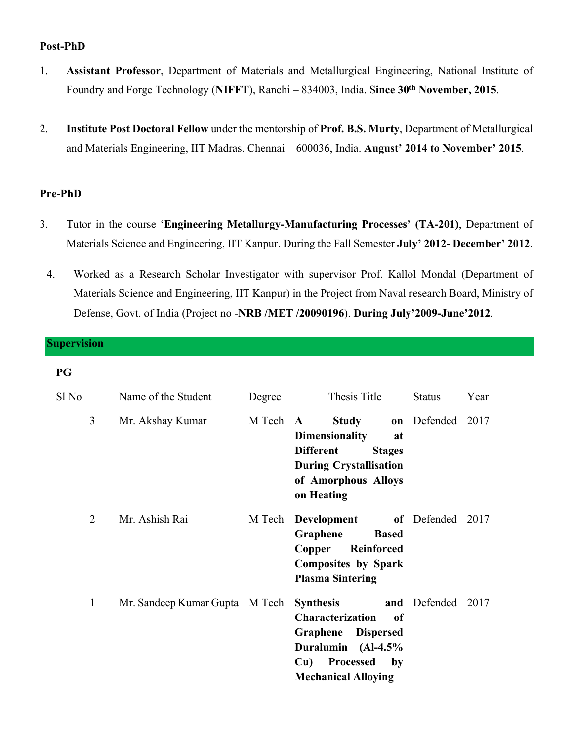## **Post-PhD**

- 1. **Assistant Professor**, Department of Materials and Metallurgical Engineering, National Institute of Foundry and Forge Technology (**NIFFT**), Ranchi – 834003, India. S**ince 30th November, 2015**.
- 2. **Institute Post Doctoral Fellow** under the mentorship of **Prof. B.S. Murty**, Department of Metallurgical and Materials Engineering, IIT Madras. Chennai – 600036, India. **August' 2014 to November' 2015**.

#### **Pre-PhD**

- 3. Tutor in the course '**Engineering Metallurgy-Manufacturing Processes' (TA-201)**, Department of Materials Science and Engineering, IIT Kanpur. During the Fall Semester **July' 2012- December' 2012**.
	- 4. Worked as a Research Scholar Investigator with supervisor Prof. Kallol Mondal (Department of Materials Science and Engineering, IIT Kanpur) in the Project from Naval research Board, Ministry of Defense, Govt. of India (Project no -**NRB /MET /20090196**). **During July'2009-June'2012**.

# **Supervision PG**  Sl No Name of the Student Degree Thesis Title Status Year 3 Mr. Akshay Kumar M Tech **A Study on Dimensionality at Different Stages During Crystallisation of Amorphous Alloys on Heating**  Defended 2017 2 Mr. Ashish Rai M Tech **Development Graphene Based Copper Reinforced Composites by Spark Plasma Sintering**  of Defended 2017 1 Mr. Sandeep Kumar Gupta M Tech **Synthesis Characterization of Graphene Dispersed Duralumin (Al-4.5% Cu) Processed by Mechanical Alloying**  and Defended 2017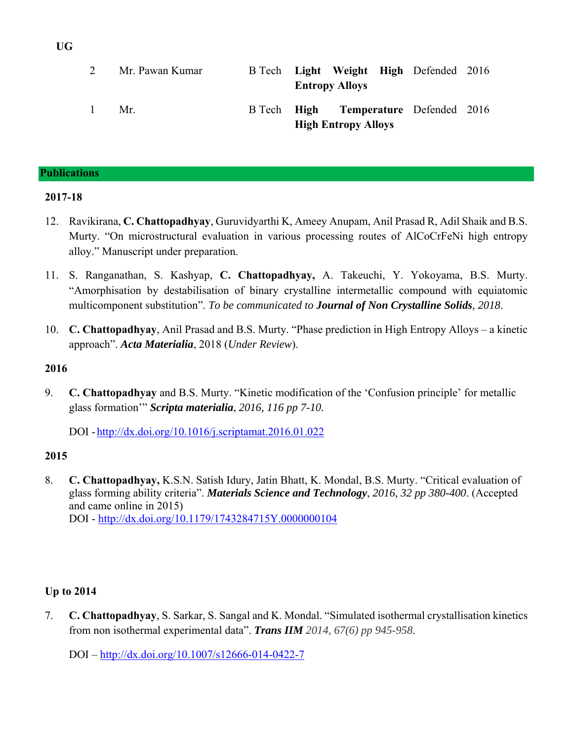|                | Mr. Pawan Kumar |  | <b>Entropy Alloys</b>      | B Tech Light Weight High Defended 2016 |  |
|----------------|-----------------|--|----------------------------|----------------------------------------|--|
| $\overline{1}$ | $Mr_{-}$        |  | <b>High Entropy Alloys</b> | B Tech High Temperature Defended 2016  |  |

#### **Publications**

#### **2017-18**

- 12. Ravikirana, **C. Chattopadhyay**, Guruvidyarthi K, Ameey Anupam, Anil Prasad R, Adil Shaik and B.S. Murty. "On microstructural evaluation in various processing routes of AlCoCrFeNi high entropy alloy." Manuscript under preparation.
- 11. S. Ranganathan, S. Kashyap, **C. Chattopadhyay,** A. Takeuchi, Y. Yokoyama, B.S. Murty. "Amorphisation by destabilisation of binary crystalline intermetallic compound with equiatomic multicomponent substitution". *To be communicated to Journal of Non Crystalline Solids, 2018*.
- 10. **C. Chattopadhyay**, Anil Prasad and B.S. Murty. "Phase prediction in High Entropy Alloys a kinetic approach". *Acta Materialia*, 2018 (*Under Review*).

#### **2016**

9. **C. Chattopadhyay** and B.S. Murty. "Kinetic modification of the 'Confusion principle' for metallic glass formation'" *Scripta materialia*, *2016, 116 pp 7-10.*

DOI -http://dx.doi.org/10.1016/j.scriptamat.2016.01.022

### **2015**

8. **C. Chattopadhyay,** K.S.N. Satish Idury, Jatin Bhatt, K. Mondal, B.S. Murty. "Critical evaluation of glass forming ability criteria". *Materials Science and Technology*, *2016, 32 pp 380-400*. (Accepted and came online in 2015)

DOI - http://dx.doi.org/10.1179/1743284715Y.0000000104

# **Up to 2014**

7. **C. Chattopadhyay**, S. Sarkar, S. Sangal and K. Mondal. "Simulated isothermal crystallisation kinetics from non isothermal experimental data". *Trans IIM 2014, 67(6) pp 945-958*.

DOI – http://dx.doi.org/10.1007/s12666-014-0422-7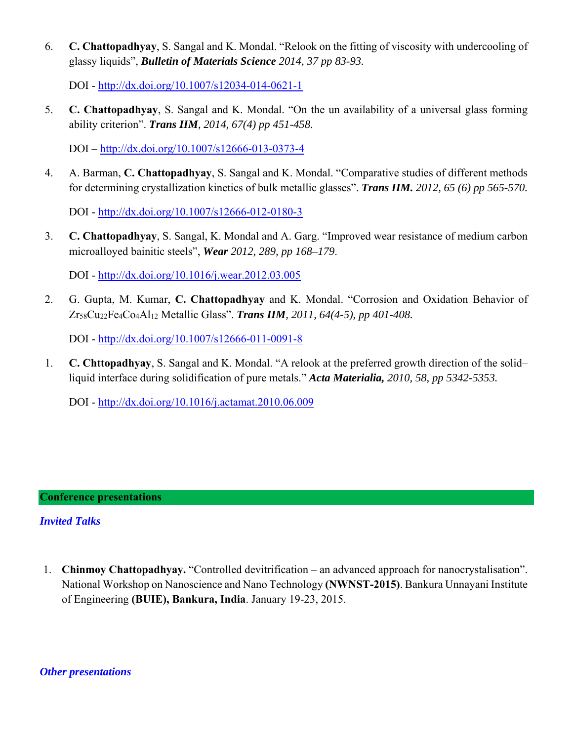6. **C. Chattopadhyay**, S. Sangal and K. Mondal. "Relook on the fitting of viscosity with undercooling of glassy liquids", *Bulletin of Materials Science 2014, 37 pp 83-93.* 

DOI - http://dx.doi.org/10.1007/s12034-014-0621-1

5. **C. Chattopadhyay**, S. Sangal and K. Mondal. "On the un availability of a universal glass forming ability criterion". *Trans IIM, 2014, 67(4) pp 451-458.*

DOI – http://dx.doi.org/10.1007/s12666-013-0373-4

4. A. Barman, **C. Chattopadhyay**, S. Sangal and K. Mondal. "Comparative studies of different methods for determining crystallization kinetics of bulk metallic glasses". *Trans IIM. 2012, 65 (6) pp 565-570.*

DOI - http://dx.doi.org/10.1007/s12666-012-0180-3

3. **C. Chattopadhyay**, S. Sangal, K. Mondal and A. Garg. "Improved wear resistance of medium carbon microalloyed bainitic steels", *Wear 2012, 289, pp 168–179*.

DOI - http://dx.doi.org/10.1016/j.wear.2012.03.005

2. G. Gupta, M. Kumar, **C. Chattopadhyay** and K. Mondal. "Corrosion and Oxidation Behavior of Zr58Cu22Fe4Co4Al12 Metallic Glass". *Trans IIM, 2011, 64(4-5), pp 401-408.* 

DOI - http://dx.doi.org/10.1007/s12666-011-0091-8

1. **C. Chttopadhyay**, S. Sangal and K. Mondal. "A relook at the preferred growth direction of the solid– liquid interface during solidification of pure metals." *Acta Materialia, 2010, 58, pp 5342-5353.*

DOI - http://dx.doi.org/10.1016/j.actamat.2010.06.009

# **Conference presentations**

# *Invited Talks*

1. **Chinmoy Chattopadhyay.** "Controlled devitrification – an advanced approach for nanocrystalisation". National Workshop on Nanoscience and Nano Technology **(NWNST-2015)**. Bankura Unnayani Institute of Engineering **(BUIE), Bankura, India**. January 19-23, 2015.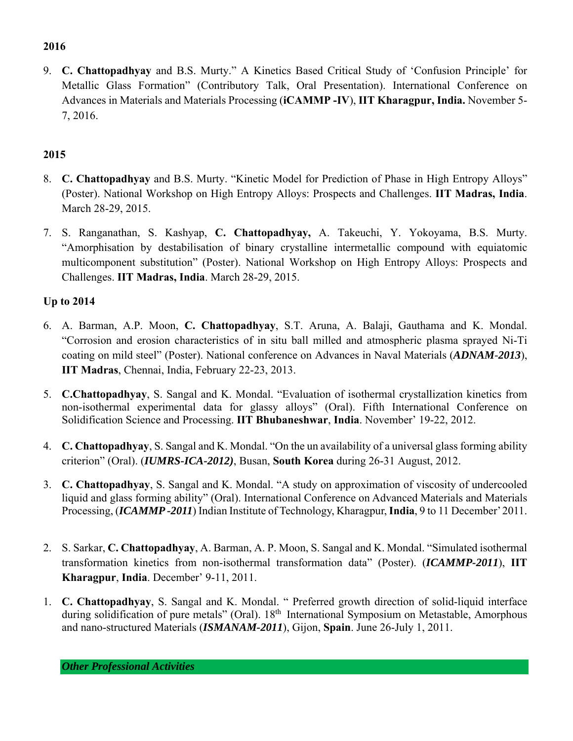# **2016**

9. **C. Chattopadhyay** and B.S. Murty." A Kinetics Based Critical Study of 'Confusion Principle' for Metallic Glass Formation" (Contributory Talk, Oral Presentation). International Conference on Advances in Materials and Materials Processing (**iCAMMP -IV**), **IIT Kharagpur, India.** November 5- 7, 2016.

# **2015**

- 8. **C. Chattopadhyay** and B.S. Murty. "Kinetic Model for Prediction of Phase in High Entropy Alloys" (Poster). National Workshop on High Entropy Alloys: Prospects and Challenges. **IIT Madras, India**. March 28-29, 2015.
- 7. S. Ranganathan, S. Kashyap, **C. Chattopadhyay,** A. Takeuchi, Y. Yokoyama, B.S. Murty. "Amorphisation by destabilisation of binary crystalline intermetallic compound with equiatomic multicomponent substitution" (Poster). National Workshop on High Entropy Alloys: Prospects and Challenges. **IIT Madras, India**. March 28-29, 2015.

# **Up to 2014**

- 6. A. Barman, A.P. Moon, **C. Chattopadhyay**, S.T. Aruna, A. Balaji, Gauthama and K. Mondal. "Corrosion and erosion characteristics of in situ ball milled and atmospheric plasma sprayed Ni-Ti coating on mild steel" (Poster). National conference on Advances in Naval Materials (*ADNAM-2013*), **IIT Madras**, Chennai, India, February 22-23, 2013.
- 5. **C.Chattopadhyay**, S. Sangal and K. Mondal. "Evaluation of isothermal crystallization kinetics from non-isothermal experimental data for glassy alloys" (Oral). Fifth International Conference on Solidification Science and Processing. **IIT Bhubaneshwar**, **India**. November' 19-22, 2012.
- 4. **C. Chattopadhyay**, S. Sangal and K. Mondal. "On the un availability of a universal glass forming ability criterion" (Oral). (*IUMRS-ICA-2012)*, Busan, **South Korea** during 26-31 August, 2012.
- 3. **C. Chattopadhyay**, S. Sangal and K. Mondal. "A study on approximation of viscosity of undercooled liquid and glass forming ability" (Oral). International Conference on Advanced Materials and Materials Processing, (*ICAMMP -2011*) Indian Institute of Technology, Kharagpur, **India**, 9 to 11 December' 2011.
- 2. S. Sarkar, **C. Chattopadhyay**, A. Barman, A. P. Moon, S. Sangal and K. Mondal. "Simulated isothermal transformation kinetics from non-isothermal transformation data" (Poster). (*ICAMMP-2011*), **IIT Kharagpur**, **India**. December' 9-11, 2011.
- 1. **C. Chattopadhyay**, S. Sangal and K. Mondal. " Preferred growth direction of solid-liquid interface during solidification of pure metals" (Oral). 18<sup>th</sup> International Symposium on Metastable, Amorphous and nano-structured Materials (*ISMANAM-2011*), Gijon, **Spain**. June 26-July 1, 2011.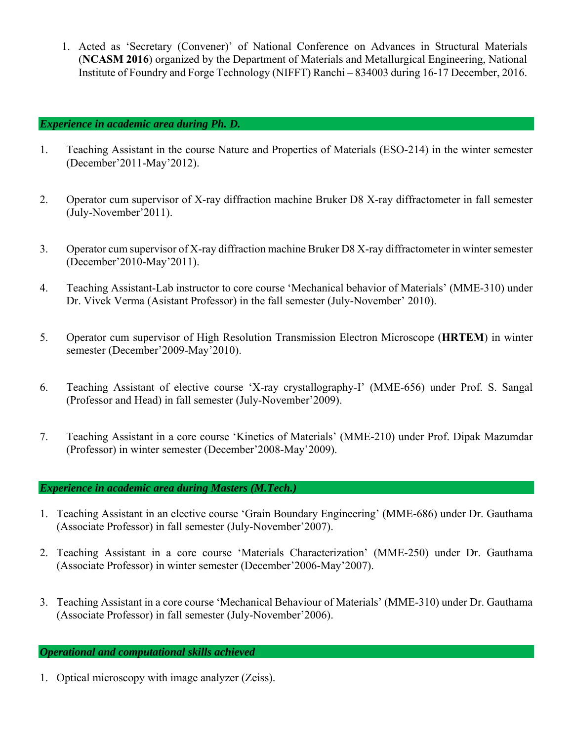1. Acted as 'Secretary (Convener)' of National Conference on Advances in Structural Materials (**NCASM 2016**) organized by the Department of Materials and Metallurgical Engineering, National Institute of Foundry and Forge Technology (NIFFT) Ranchi – 834003 during 16-17 December, 2016.

### *Experience in academic area during Ph. D.*

- 1. Teaching Assistant in the course Nature and Properties of Materials (ESO-214) in the winter semester (December'2011-May'2012).
- 2. Operator cum supervisor of X-ray diffraction machine Bruker D8 X-ray diffractometer in fall semester (July-November'2011).
- 3. Operator cum supervisor of X-ray diffraction machine Bruker D8 X-ray diffractometer in winter semester (December'2010-May'2011).
- 4. Teaching Assistant-Lab instructor to core course 'Mechanical behavior of Materials' (MME-310) under Dr. Vivek Verma (Asistant Professor) in the fall semester (July-November' 2010).
- 5. Operator cum supervisor of High Resolution Transmission Electron Microscope (**HRTEM**) in winter semester (December'2009-May'2010).
- 6. Teaching Assistant of elective course 'X-ray crystallography-I' (MME-656) under Prof. S. Sangal (Professor and Head) in fall semester (July-November'2009).
- 7. Teaching Assistant in a core course 'Kinetics of Materials' (MME-210) under Prof. Dipak Mazumdar (Professor) in winter semester (December'2008-May'2009).

### *Experience in academic area during Masters (M.Tech.)*

- 1. Teaching Assistant in an elective course 'Grain Boundary Engineering' (MME-686) under Dr. Gauthama (Associate Professor) in fall semester (July-November'2007).
- 2. Teaching Assistant in a core course 'Materials Characterization' (MME-250) under Dr. Gauthama (Associate Professor) in winter semester (December'2006-May'2007).
- 3. Teaching Assistant in a core course 'Mechanical Behaviour of Materials' (MME-310) under Dr. Gauthama (Associate Professor) in fall semester (July-November'2006).

# *Operational and computational skills achieved*

1. Optical microscopy with image analyzer (Zeiss).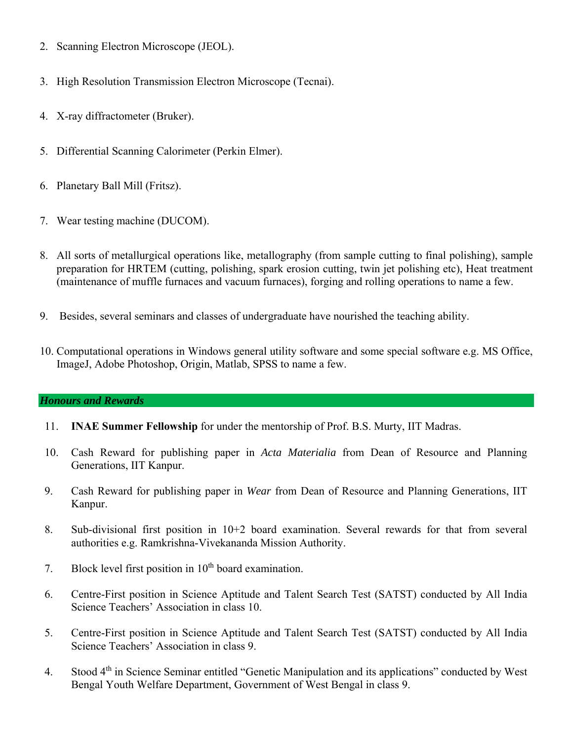- 2. Scanning Electron Microscope (JEOL).
- 3. High Resolution Transmission Electron Microscope (Tecnai).
- 4. X-ray diffractometer (Bruker).
- 5. Differential Scanning Calorimeter (Perkin Elmer).
- 6. Planetary Ball Mill (Fritsz).
- 7. Wear testing machine (DUCOM).
- 8. All sorts of metallurgical operations like, metallography (from sample cutting to final polishing), sample preparation for HRTEM (cutting, polishing, spark erosion cutting, twin jet polishing etc), Heat treatment (maintenance of muffle furnaces and vacuum furnaces), forging and rolling operations to name a few.
- 9. Besides, several seminars and classes of undergraduate have nourished the teaching ability.
- 10. Computational operations in Windows general utility software and some special software e.g. MS Office, ImageJ, Adobe Photoshop, Origin, Matlab, SPSS to name a few.

# *Honours and Rewards*

- 11. **INAE Summer Fellowship** for under the mentorship of Prof. B.S. Murty, IIT Madras.
- 10. Cash Reward for publishing paper in *Acta Materialia* from Dean of Resource and Planning Generations, IIT Kanpur.
- 9. Cash Reward for publishing paper in *Wear* from Dean of Resource and Planning Generations, IIT Kanpur.
- 8. Sub-divisional first position in 10+2 board examination. Several rewards for that from several authorities e.g. Ramkrishna-Vivekananda Mission Authority.
- 7. Block level first position in  $10<sup>th</sup>$  board examination.
- 6. Centre-First position in Science Aptitude and Talent Search Test (SATST) conducted by All India Science Teachers' Association in class 10.
- 5. Centre-First position in Science Aptitude and Talent Search Test (SATST) conducted by All India Science Teachers' Association in class 9.
- 4. Stood 4th in Science Seminar entitled "Genetic Manipulation and its applications" conducted by West Bengal Youth Welfare Department, Government of West Bengal in class 9.